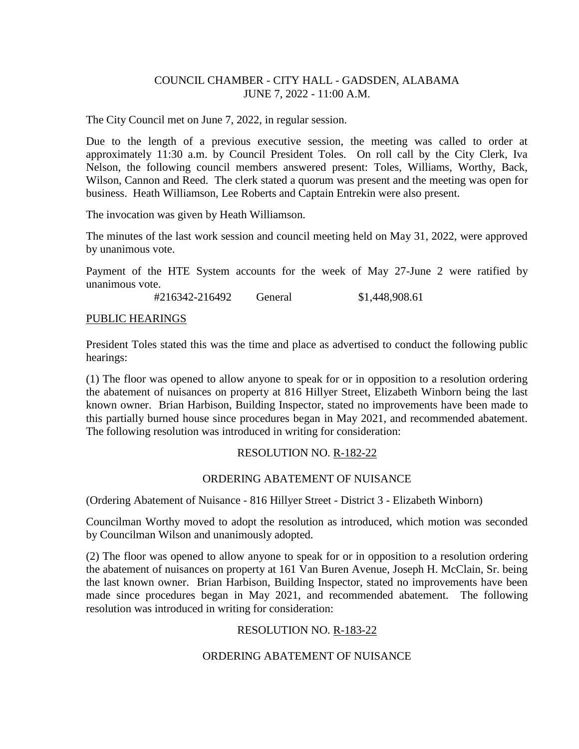## COUNCIL CHAMBER - CITY HALL - GADSDEN, ALABAMA JUNE 7, 2022 - 11:00 A.M.

The City Council met on June 7, 2022, in regular session.

Due to the length of a previous executive session, the meeting was called to order at approximately 11:30 a.m. by Council President Toles. On roll call by the City Clerk, Iva Nelson, the following council members answered present: Toles, Williams, Worthy, Back, Wilson, Cannon and Reed. The clerk stated a quorum was present and the meeting was open for business. Heath Williamson, Lee Roberts and Captain Entrekin were also present.

The invocation was given by Heath Williamson.

The minutes of the last work session and council meeting held on May 31, 2022, were approved by unanimous vote.

Payment of the HTE System accounts for the week of May 27-June 2 were ratified by unanimous vote.

#216342-216492 General \$1,448,908.61

#### PUBLIC HEARINGS

President Toles stated this was the time and place as advertised to conduct the following public hearings:

(1) The floor was opened to allow anyone to speak for or in opposition to a resolution ordering the abatement of nuisances on property at 816 Hillyer Street, Elizabeth Winborn being the last known owner. Brian Harbison, Building Inspector, stated no improvements have been made to this partially burned house since procedures began in May 2021, and recommended abatement. The following resolution was introduced in writing for consideration:

#### RESOLUTION NO. R-182-22

#### ORDERING ABATEMENT OF NUISANCE

(Ordering Abatement of Nuisance - 816 Hillyer Street - District 3 - Elizabeth Winborn)

Councilman Worthy moved to adopt the resolution as introduced, which motion was seconded by Councilman Wilson and unanimously adopted.

(2) The floor was opened to allow anyone to speak for or in opposition to a resolution ordering the abatement of nuisances on property at 161 Van Buren Avenue, Joseph H. McClain, Sr. being the last known owner. Brian Harbison, Building Inspector, stated no improvements have been made since procedures began in May 2021, and recommended abatement. The following resolution was introduced in writing for consideration:

# RESOLUTION NO. R-183-22

# ORDERING ABATEMENT OF NUISANCE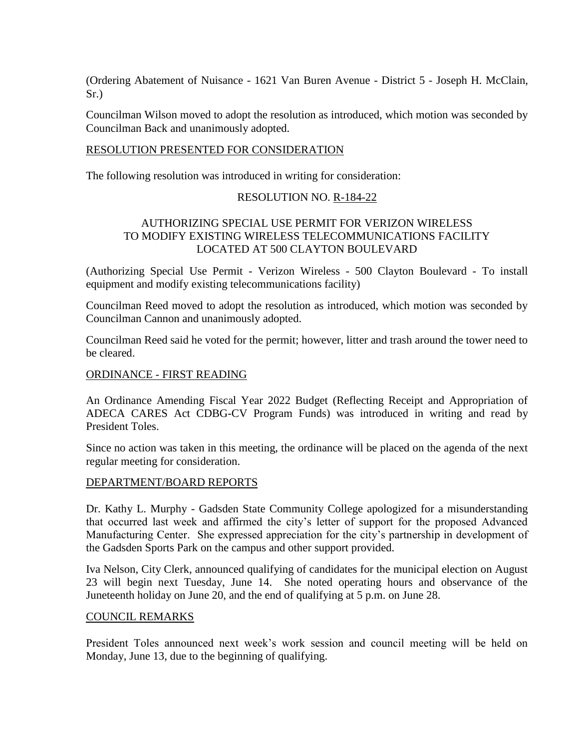(Ordering Abatement of Nuisance - 1621 Van Buren Avenue - District 5 - Joseph H. McClain, Sr.)

Councilman Wilson moved to adopt the resolution as introduced, which motion was seconded by Councilman Back and unanimously adopted.

#### RESOLUTION PRESENTED FOR CONSIDERATION

The following resolution was introduced in writing for consideration:

#### RESOLUTION NO. R-184-22

## AUTHORIZING SPECIAL USE PERMIT FOR VERIZON WIRELESS TO MODIFY EXISTING WIRELESS TELECOMMUNICATIONS FACILITY LOCATED AT 500 CLAYTON BOULEVARD

(Authorizing Special Use Permit - Verizon Wireless - 500 Clayton Boulevard - To install equipment and modify existing telecommunications facility)

Councilman Reed moved to adopt the resolution as introduced, which motion was seconded by Councilman Cannon and unanimously adopted.

Councilman Reed said he voted for the permit; however, litter and trash around the tower need to be cleared.

### ORDINANCE - FIRST READING

An Ordinance Amending Fiscal Year 2022 Budget (Reflecting Receipt and Appropriation of ADECA CARES Act CDBG-CV Program Funds) was introduced in writing and read by President Toles.

Since no action was taken in this meeting, the ordinance will be placed on the agenda of the next regular meeting for consideration.

#### DEPARTMENT/BOARD REPORTS

Dr. Kathy L. Murphy - Gadsden State Community College apologized for a misunderstanding that occurred last week and affirmed the city's letter of support for the proposed Advanced Manufacturing Center. She expressed appreciation for the city's partnership in development of the Gadsden Sports Park on the campus and other support provided.

Iva Nelson, City Clerk, announced qualifying of candidates for the municipal election on August 23 will begin next Tuesday, June 14. She noted operating hours and observance of the Juneteenth holiday on June 20, and the end of qualifying at 5 p.m. on June 28.

#### COUNCIL REMARKS

President Toles announced next week's work session and council meeting will be held on Monday, June 13, due to the beginning of qualifying.